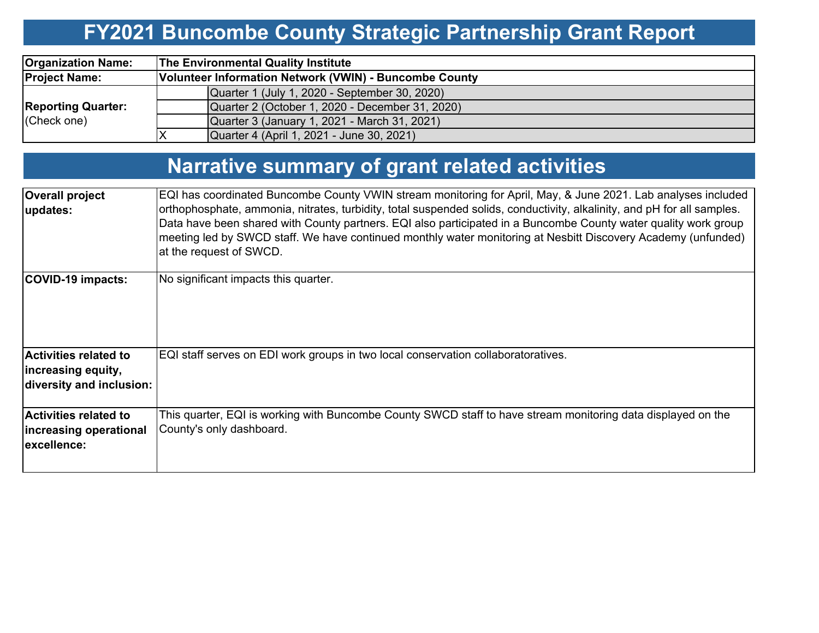# **FY2021 Buncombe County Strategic Partnership Grant Report**

| <b>Organization Name:</b>                | <b>The Environmental Quality Institute</b>             |  |  |  |  |  |  |
|------------------------------------------|--------------------------------------------------------|--|--|--|--|--|--|
| <b>Project Name:</b>                     | Volunteer Information Network (VWIN) - Buncombe County |  |  |  |  |  |  |
|                                          | Quarter 1 (July 1, 2020 - September 30, 2020)          |  |  |  |  |  |  |
| <b>Reporting Quarter:</b><br>(Check one) | Quarter 2 (October 1, 2020 - December 31, 2020)        |  |  |  |  |  |  |
|                                          | Quarter 3 (January 1, 2021 - March 31, 2021)           |  |  |  |  |  |  |
|                                          | Quarter 4 (April 1, 2021 - June 30, 2021)              |  |  |  |  |  |  |

# **Narrative summary of grant related activities**

| <b>Overall project</b><br>updates:                                             | EQI has coordinated Buncombe County VWIN stream monitoring for April, May, & June 2021. Lab analyses included<br>orthophosphate, ammonia, nitrates, turbidity, total suspended solids, conductivity, alkalinity, and pH for all samples.<br>Data have been shared with County partners. EQI also participated in a Buncombe County water quality work group<br>meeting led by SWCD staff. We have continued monthly water monitoring at Nesbitt Discovery Academy (unfunded)<br>at the request of SWCD. |
|--------------------------------------------------------------------------------|---------------------------------------------------------------------------------------------------------------------------------------------------------------------------------------------------------------------------------------------------------------------------------------------------------------------------------------------------------------------------------------------------------------------------------------------------------------------------------------------------------|
| COVID-19 impacts:                                                              | No significant impacts this quarter.                                                                                                                                                                                                                                                                                                                                                                                                                                                                    |
| <b>Activities related to</b><br>increasing equity,<br>diversity and inclusion: | EQI staff serves on EDI work groups in two local conservation collaboratoratives.                                                                                                                                                                                                                                                                                                                                                                                                                       |
| <b>Activities related to</b><br>increasing operational<br>excellence:          | This quarter, EQI is working with Buncombe County SWCD staff to have stream monitoring data displayed on the<br>County's only dashboard.                                                                                                                                                                                                                                                                                                                                                                |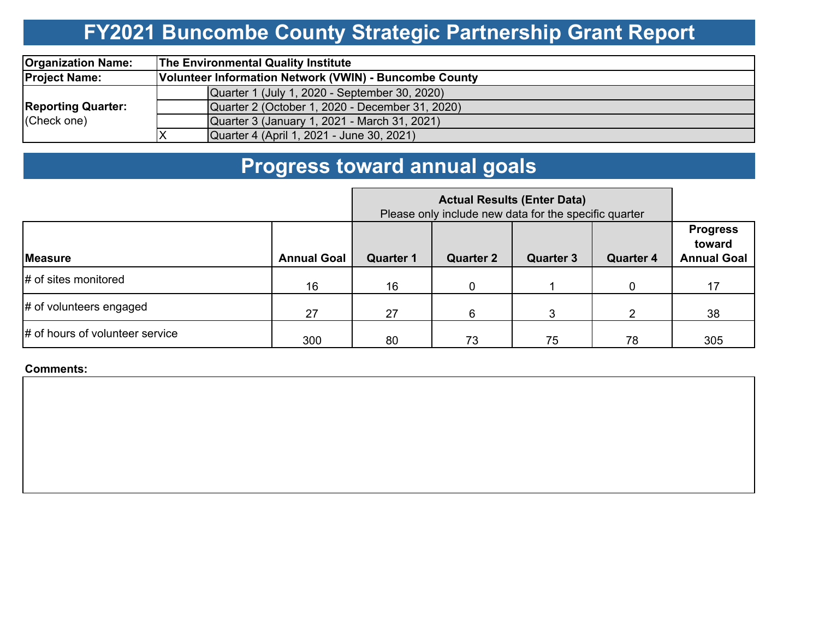# **FY2021 Buncombe County Strategic Partnership Grant Report**

| <b>Organization Name:</b>                | <b>The Environmental Quality Institute</b>             |  |  |  |  |  |  |
|------------------------------------------|--------------------------------------------------------|--|--|--|--|--|--|
| <b>Project Name:</b>                     | Volunteer Information Network (VWIN) - Buncombe County |  |  |  |  |  |  |
| <b>Reporting Quarter:</b><br>(Check one) | Quarter 1 (July 1, 2020 - September 30, 2020)          |  |  |  |  |  |  |
|                                          | Quarter 2 (October 1, 2020 - December 31, 2020)        |  |  |  |  |  |  |
|                                          | Quarter 3 (January 1, 2021 - March 31, 2021)           |  |  |  |  |  |  |
|                                          | Quarter 4 (April 1, 2021 - June 30, 2021)              |  |  |  |  |  |  |

# **Progress toward annual goals**

|                                        |                    | Please only include new data for the specific quarter |                  |                  |                  |                                                 |
|----------------------------------------|--------------------|-------------------------------------------------------|------------------|------------------|------------------|-------------------------------------------------|
| <b>Measure</b>                         | <b>Annual Goal</b> | <b>Quarter 1</b>                                      | <b>Quarter 2</b> | <b>Quarter 3</b> | <b>Quarter 4</b> | <b>Progress</b><br>toward<br><b>Annual Goal</b> |
| # of sites monitored                   | 16                 | 16                                                    | 0                |                  | 0                | 17                                              |
| # of volunteers engaged                | 27                 | 27                                                    | 6                | 3                | າ                | 38                                              |
| $\sharp$ of hours of volunteer service | 300                | 80                                                    | 73               | 75               | 78               | 305                                             |

**Comments:**